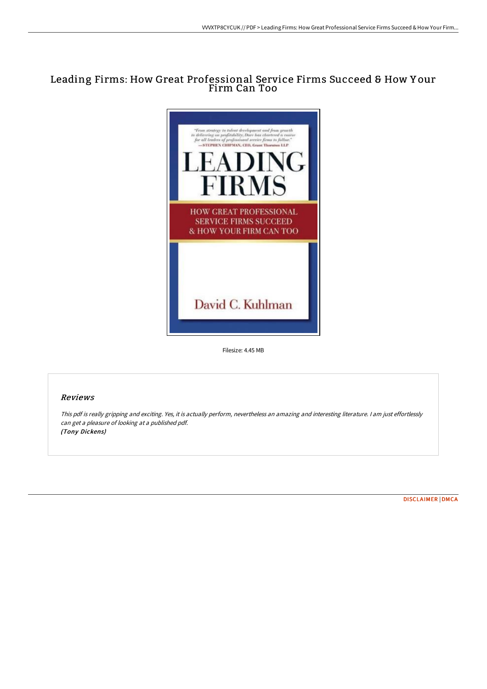# Leading Firms: How Great Professional Service Firms Succeed & How Y our Firm Can Too



Filesize: 4.45 MB

# Reviews

This pdf is really gripping and exciting. Yes, it is actually perform, nevertheless an amazing and interesting literature. <sup>I</sup> am just effortlessly can get <sup>a</sup> pleasure of looking at <sup>a</sup> published pdf. (Tony Dickens)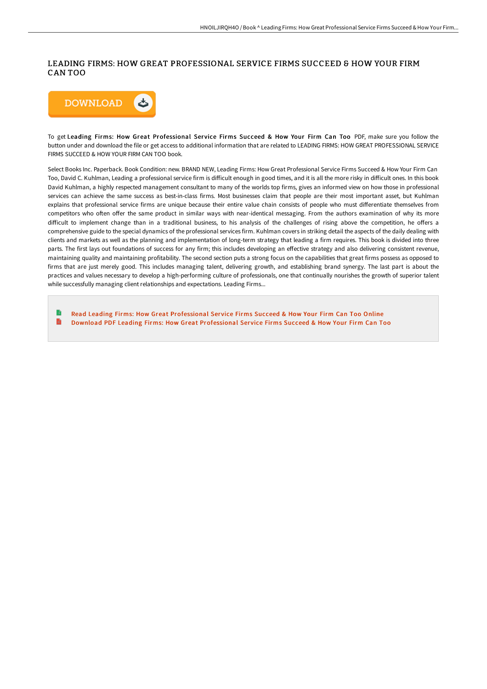### LEADING FIRMS: HOW GREAT PROFESSIONAL SERVICE FIRMS SUCCEED & HOW YOUR FIRM CAN TOO



To get Leading Firms: How Great Professional Service Firms Succeed & How Your Firm Can Too PDF, make sure you follow the button under and download the file or get access to additional information that are related to LEADING FIRMS: HOW GREAT PROFESSIONAL SERVICE FIRMS SUCCEED & HOW YOUR FIRM CAN TOO book.

Select Books Inc. Paperback. Book Condition: new. BRAND NEW, Leading Firms: How Great Professional Service Firms Succeed & How Your Firm Can Too, David C. Kuhlman, Leading a professional service firm is difficult enough in good times, and it is all the more risky in difficult ones. In this book David Kuhlman, a highly respected management consultant to many of the worlds top firms, gives an informed view on how those in professional services can achieve the same success as best-in-class firms. Most businesses claim that people are their most important asset, but Kuhlman explains that professional service firms are unique because their entire value chain consists of people who must differentiate themselves from competitors who often offer the same product in similar ways with near-identical messaging. From the authors examination of why its more difficult to implement change than in a traditional business, to his analysis of the challenges of rising above the competition, he offers a comprehensive guide to the special dynamics of the professional services firm. Kuhlman covers in striking detail the aspects of the daily dealing with clients and markets as well as the planning and implementation of long-term strategy that leading a firm requires. This book is divided into three parts. The first lays out foundations of success for any firm; this includes developing an effective strategy and also delivering consistent revenue, maintaining quality and maintaining profitability. The second section puts a strong focus on the capabilities that great firms possess as opposed to firms that are just merely good. This includes managing talent, delivering growth, and establishing brand synergy. The last part is about the practices and values necessary to develop a high-performing culture of professionals, one that continually nourishes the growth of superior talent while successfully managing client relationships and expectations. Leading Firms...

Read Leading Firms: How Great [Professional](http://albedo.media/leading-firms-how-great-professional-service-fir.html) Service Firms Succeed & How Your Firm Can Too Online B Download PDF Leading Firms: How Great [Professional](http://albedo.media/leading-firms-how-great-professional-service-fir.html) Service Firms Succeed & How Your Firm Can Too